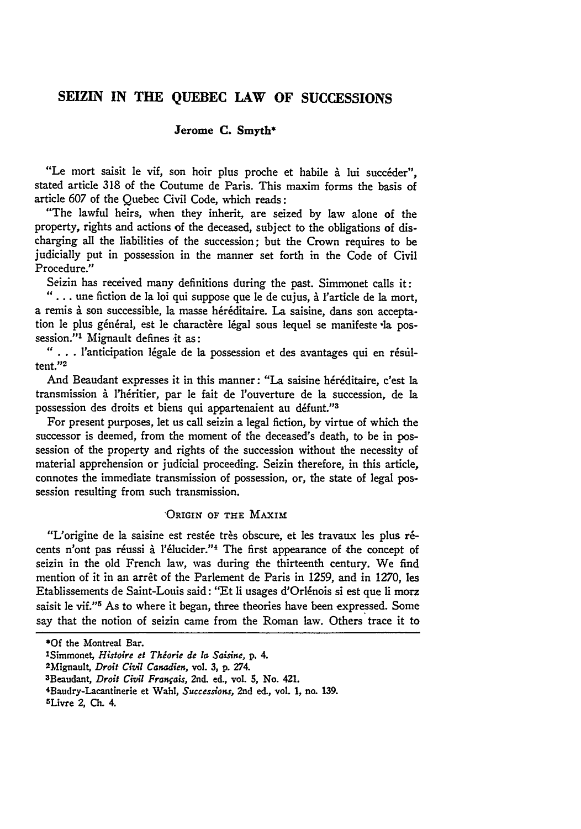# **SEIZLN IN THE QUEBEC LAW OF SUCCESSIONS**

# Jerome **C. Smyth\***

"Le mort saisit le vif, son hoir plus proche et habile à lui succéder", stated article **318** of the Coutume de Paris. This maxim forms the basis of article 607 of the Quebec Civil Code, which reads:

"The lawful heirs, when they inherit, are seized **by** law alone of the property, rights and actions of the deceased, subject to the obligations of discharging all the liabilities of the succession; but the Crown requires to be judicially put in possession in the manner set forth in the Code of Civil Procedure."

Seizin has received many definitions during the past. Simmonet calls it:

*"....* une fiction de la loi qui suppose que le de cujus, i l'article de la mort, a remis à son successible, la masse héréditaire. La saisine, dans son acceptation le plus général, est le charactère légal sous lequel se manifeste la possession."1 Mignault defines it as:

" . . . l'anticipation légale de la possession et des avantages qui en résultent."2

And Beaudant expresses it in this manner: "La saisine héréditaire, c'est la transmission l'hritier, par le fait de l'ouverture de la succession, de **la** possession des droits et biens qui appartenaient au défunt."<sup>3</sup>

For present purposes, let us call seizin a legal fiction, **by** virtue of which the successor is deemed, from the moment of the deceased's death, to be in possession of the property and rights of the succession without the necessity of material apprehension or judicial proceeding. Seizin therefore, in this article, connotes the immediate transmission of possession, or, the state of legal possession resulting from such transmission.

## ORIGIN OF THE MAXIM

"L'origine de la saisine est restée très obscure, et les travaux les plus récents n'ont pas réussi à l'élucider."<sup>4</sup> The first appearance of the concept of seizin in the old French law, was during the thirteenth century. We find mention of it in an arrêt of the Parlement de Paris in 1259, and in 1270, les Etablissements de Saint-Louis said: "Et li usages d'Orlénois si est que li morz saisit le vif."<sup>5</sup> As to where it began, three theories have been expressed. Some say that the notion of seizin came from the Roman law. Others trace it to

**<sup>\*</sup>Of** the Montreal Bar.

<sup>1</sup> Simmonet, *Histoire* et *Thiorie de* **la** *Saisine,* **p.** 4.

<sup>2</sup>Mignault, *Droit Civil Canadien,* vol. **3, p. 274.**

<sup>&</sup>lt;sup>3</sup>Beaudant, *Droit Civil Français*, 2nd. ed., vol. 5, No. 421.

<sup>4</sup>Baudry-Lacantinerie et Wahl, *Successions,* 2nd ed., vol. **1,** no. **139.**

<sup>5</sup>Livre 2, **Ch.** 4.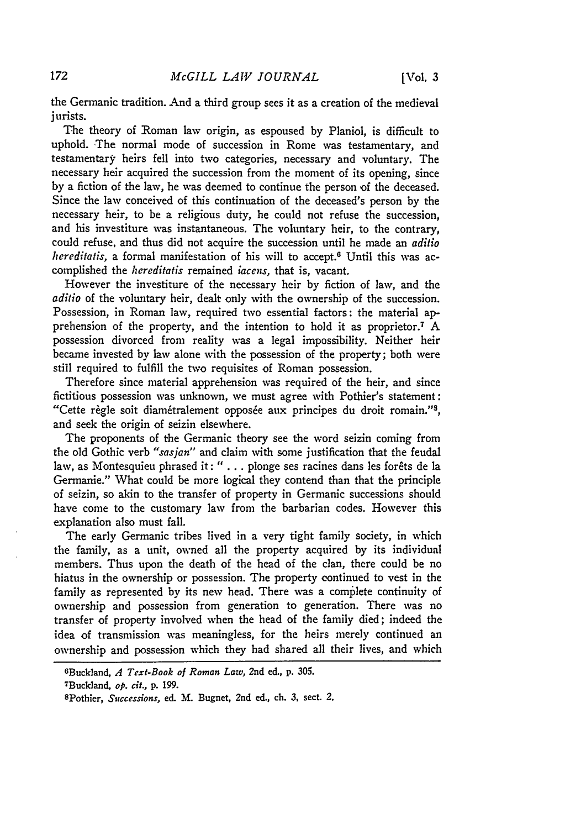the Germanic tradition. And a third group sees it as a creation of the medieval jurists.

The theory of Roman law origin, as espoused by Planiol, is difficult to uphold. The normal mode of succession in Rome was testamentary, and testamentary, heirs fell into two categories, necessary and voluntary. The necessary heir acquired the succession from the moment of its opening, since **by** a fiction of the law, he was deemed to continue the person of the deceased. Since the law conceived of this continuation of the deceased's person **by** the necessary heir, to be a religious duty, he could not refuse the succession, and his investiture was instantaneous. The voluntary heir, to the contrary, could refuse, and thus did not acquire the succession until he made an *aditio hereditatis*, a formal manifestation of his will to accept.<sup>6</sup> Until this was accomplished the *hereditatis* remained *iaccns,* that is, vacant.

However the investiture of the necessary heir **by** fiction of law, and the *aditio* of the voluntary heir, dealt only with the ownership of the succession. Possession, in Roman law, required two essential factors: the material apprehension of the property, and the intention to hold it as proprietor.7 **A** possession divorced from reality was a legal impossibility. Neither heir became invested **by** law alone with the possession of the property; both were still required to fulfill the two requisites of Roman possession.

Therefore since material apprehension was required of the heir, and since fictitious possession was unknown, we must agree with Pothier's statement: "Cette règle soit diamétralement opposée aux principes du droit romain."<sup>3</sup>, and seek the origin of seizin elsewhere.

The proponents of the Germanic theory see the word seizin coming from the old Gothic verb *"sasjan"* and claim with some justification that the feudal law, as Montesquieu phrased it: "... plonge ses racines dans les forêts de la Germanie." What could be more logical they contend than that the principle of seizin, so akin to the transfer of property in Germanic successions should have come to the customary law from the barbarian codes. However this explanation also must fall.

The early Germanic tribes lived in a very tight family society, in which the family, as a unit, owned all the property acquired **by** its individual members. Thus upon the death of the head of the clan, there could be no hiatus in the ownership or possession. The property continued to vest in the family as represented by its new head. There was a complete continuity of ownership and possession from generation to generation. There was no transfer of property involved when the head of the family died; indeed the idea of transmission was meaningless, for the heirs merely continued an ownership and possession which they had shared all their lives, and which

OBuckland, *A Text-Book of Roman Law,* 2nd ed., **p. 305.**

<sup>7</sup>Buckland, *op. cit.,* **p. 199.**

<sup>8</sup>Pothier, *Successions, ed.* **I.** Bugnet, 2nd ed., **ch. 3,** sect. 2.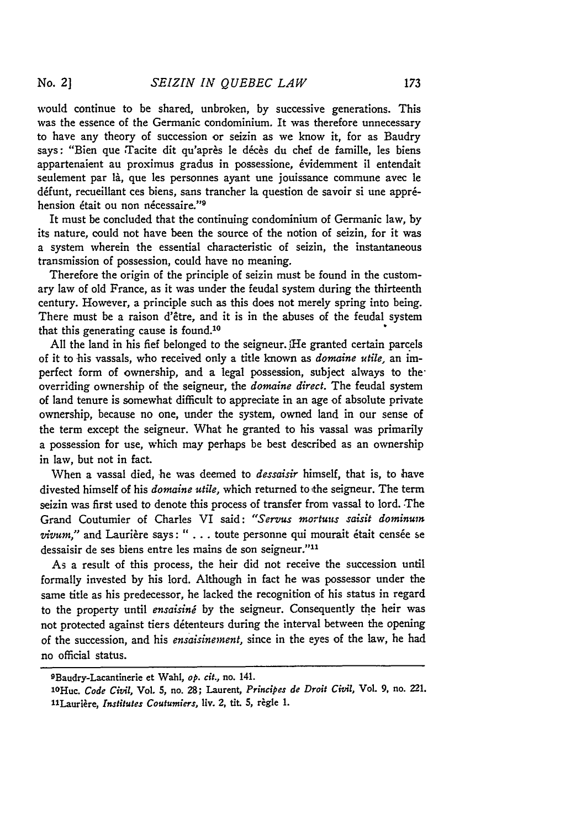would continue to be shared, unbroken, by successive generations. This was the essence of the Germanic condominium. It was therefore unnecessary to have any theory of succession or seizin as we know it, for as Baudry says: "Bien que Tacite dit qu'après le décès du chef de famille, les biens appartenaient au proximus gradus in possessione, 6videmment il entendait seulement par là, que les personnes ayant une jouissance commune avec le défunt, recueillant ces biens, sans trancher la question de savoir si une appréhension était ou non nécessaire."<sup>9</sup>

It must be concluded that the continuing condominium of Germanic law, by its nature, could not have been the source of the notion of seizin, for it was a system wherein the essential characteristic of seizin, the instantaneous transmission of possession, could have no meaning.

Therefore the origin of the principle of seizin must be found in the customary law of old France, as it was under the feudal system during the thirteenth century. However, a principle such as this does not merely spring into being. There must be a raison d'être, and it is in the abuses of the feudal system that this generating cause is found.<sup>10</sup>

All the land in his fief belonged to the seigneur. He granted certain parcels of it to his vassals, who received only a title known as *domaine utile,* an imperfect form of ownership, and a legal possession, subject always to the overriding ownership of the seigneur, the *donaine direct.* The feudal system of land tenure is somewhat difficult to appreciate in an age of absolute private ownership, because no one, under the system, owned land in our sense of the term except the seigneur. What he granted to his vassal was primarily a possession for use, which may perhaps be best described as an ownership in law, but not in fact.

When a vassal died, he was deemed to *dessaisir* himself, that is, to have divested himself of his *domaine utile,* which returned to the seigneur. The term seizin was first used to denote this process of transfer from vassal to lord. The Grand Coutumier of Charles VI said: "Servus mortuus saisit dominum vivum," and Laurière says: " . . . toute personne qui mourait était censée se dessaisir de ses biens entre les mains de son seigneur."'<sup>1</sup>

As a result of this process, the heir did not receive the succession until formally invested by his lord. Although in fact he was possessor under the same title as his predecessor, he lacked the recognition of his status in regard to the property until *ensaising* by the seigneur. Consequently the heir was not protected against tiers détenteurs during the interval between the opening of the succession, and his *ensaisinement,* since in the eyes of the law, he had no official status.

<sup>9</sup>Baudry-Lacantinerie et Wahl, *op. cit.,* no. 141.

lOHuc. *Code Civil,* Vol. 5, no. **28;** Laurent, *Principes de Droit Civil,* Vol. **9,** no. 221. 11Laurière, *Institutes Coutumiers*, liv. 2, tit. 5, règle 1.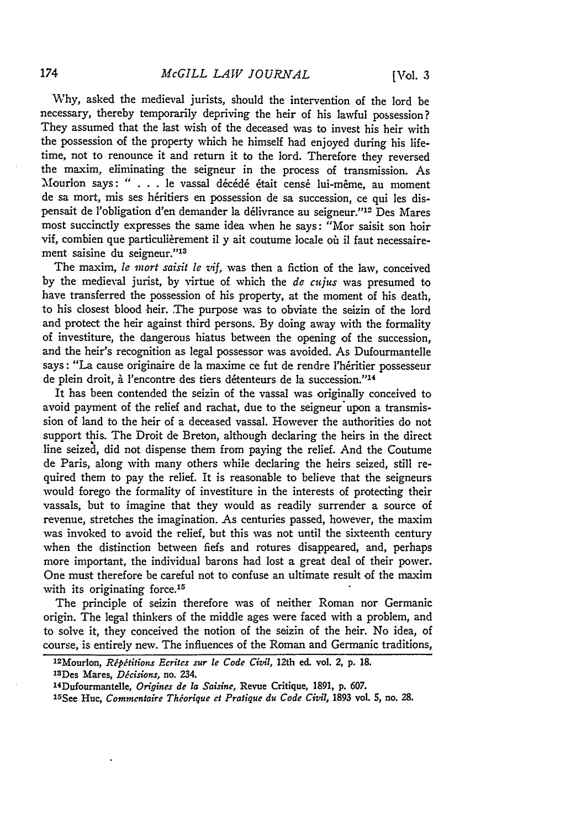# *McGILL LAW JOURNAL*

174

V:hy, asked the medieval jurists, should the intervention of the lord be necessary, thereby temporarily depriving the heir of his lawful possession? They assumed that the last wish of the deceased was to invest his heir with the possession of the property which he himself had enjoyed during his lifetime, not to renounce it and return it to the lord. Therefore they reversed the maxim, eliminating the seigneur in the process of transmission. As Mourlon says: " . . . le vassal décédé était censé lui-même, au moment de sa mort, mis ses héritiers en possession de sa succession, ce qui les dispensait de l'obligation d'en demander la d6livrance au seigneur."'12 Des Mares most succinctly expresses the same idea when he says: "Mor saisit son hoir vif, combien que particulièrement il y ait coutume locale où il faut necessairement saisine du seigneur."<sup>13</sup>

The maxim, *le mort saisit le vif,* was then a fiction of the law, conceived by the medieval jurist, by virtue of which the *de cujus* was presumed to have transferred the possession of his property, at the moment **of** his death, to his closest blood heir. The purpose was to obviate the seizin of the lord and protect the heir against third persons. By doing away with the formality of investiture, the dangerous hiatus between the opening of the succession, and the heir's recognition as legal possessor was avoided. As Dufourmantelle says: "La cause originaire de la maxime ce fut de rendre l'héritier possesseur de plein droit, à l'encontre des tiers détenteurs de la succession."14

It has been contended the seizin of the vassal was originally conceived to avoid payment of the relief and rachat, due to the seigneur upon a transmission of land to the heir of a deceased vassal. However the authorities do not support this. The Droit de Breton, although declaring the heirs in the direct line seized, did not dispense them from paying the relief. And the Coutume de Paris, along with many others while declaring the heirs seized, still required them to pay the relief. It is reasonable to believe that the seigneurs would forego the formality of investiture in the interests of protecting their vassals, but to imagine that they would as readily surrender a source of revenue, stretches the imagination. As centuries passed, however, the maxim was invoked to avoid the relief, but this was not until the sixteenth century when the distinction between fiefs and rotures disappeared, and, perhaps more important, the individual barons had lost a great deal of their power. One must therefore be careful not to confuse an ultimate result of the maxim with its originating force.<sup>15</sup>

The principle of seizin therefore was of neither Roman nor Germanic origin. The legal thinkers of the middle ages were faced with a problem, and to solve it, they conceived the notion of the seizin of the heir. No idea, of course, is entirely new. The influences of the Roman and Germanic traditions,

<sup>12</sup> Mourlon, *Ripilitions Ecrites sur le Code Civil,* 12th ed. vol. 2, **p.** 18. 'sDes **Mares,** *Dicision,* no. 234. 1 4Dufourmantelle, *Origines de Ia Saisine,* Revue Critique, 1891, **p. 607.**

<sup>1</sup> 5See Huc, *Commentaire Thiorique et Pratique du Code Civil,* **1893** vol. **5,** no. **28.**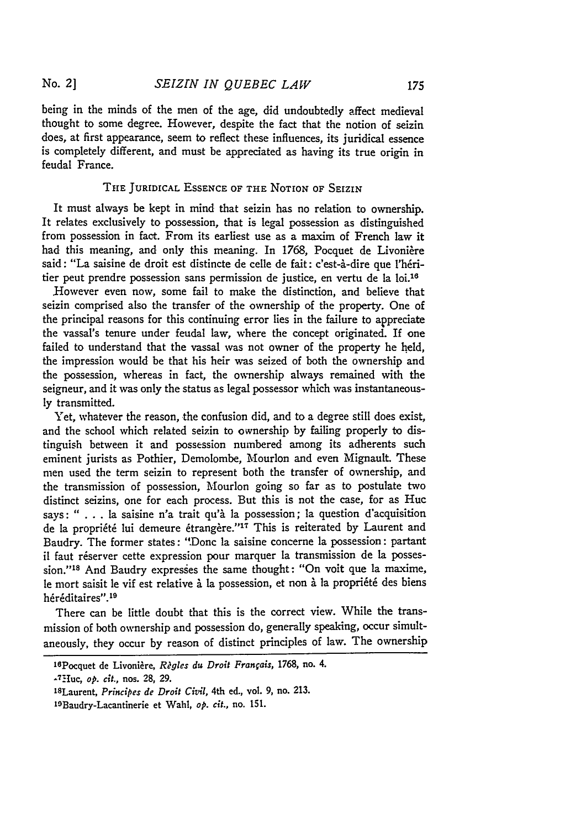being in the minds of the men of the age, did undoubtedly affect medieval thought to some degree. However, despite the fact that the notion of seizin does, at first appearance, seem to reflect these influences, its juridical essence is completely different, and must be appreciated as having its true origin in feudal France.

## **THE** JURIDICAL **ESSENCE** OF **THE** NOTION OF SEIZiN

It must always be kept in mind that seizin has no relation to ownership. It relates exclusively to possession, that is legal possession as distinguished from possession in fact. From its earliest use as a maxim of French law it had this meaning, and only this meaning. In 1768, Pocquet de Livonière said: "La saisine de droit est distincte de celle de fait: c'est-à-dire que l'héritier peut prendre possession sans permission de justice, en vertu de la loi.<sup>16</sup>

However even now, some fail to make the distinction, and believe that seizin comprised also the transfer of the ownership of the property. One of the principal reasons for this continuing error lies in the failure to appreciate the vassal's tenure under feudal law, where the concept originated. If one failed to understand that the vassal was not owner of the property he held, the impression would be that his heir was seized of both the ownership and the possession, whereas in fact, the ownership always remained with the seigneur, and it was only the status as legal possessor which was instantaneously transmitted.

Yet, whatever the reason, the confusion did, and to a degree still does exist, and the school which related seizin to ownership by failing properly to distinguish between it and possession numbered among its adherents such eminent jurists as Pothier, Demolombe, Mourlon and even Mignault. These men used the term seizin to represent both the transfer of ownership, and the transmission of possession, Mourlon going so far as to postulate two distinct seizins, one for each process. But this is not the case, for as Huc says: " . . . la saisine n'a trait qu'à la possession; la question d'acquisition de la propriété lui demeure étrangère."<sup>17</sup> This is reiterated by Laurent and Baudry. The former states: '"Donc la saisine concerne la possession: partant il faut réserver cette expression pour marquer la transmission de la possession."<sup>18</sup> And Baudry expresses the same thought: "On voit que la maxime, le mort saisit le vif est relative à la possession, et non à la propriété des biens héréditaires".<sup>19</sup>

There can be little doubt that this is the correct view. While the transmission of both ownership and possession do, generally speaking, occur simultaneously, they occur **by** reason of distinct principles of law. The ownership

<sup>16</sup> Pocquet de Livonière, *Règles du Droit Français*, 1768, no. 4.

<sup>\*</sup> 7.HIuc, *op. cit.,* nos. **28, 29.**

<sup>&#</sup>x27;sLaurent, *Principes de Droit Civil,* 4th ed., vol. **9,** no. **213.**

**<sup>19</sup>Baudry-Lacantinerie et Wahl,** *op. cit.,* **no. 151.**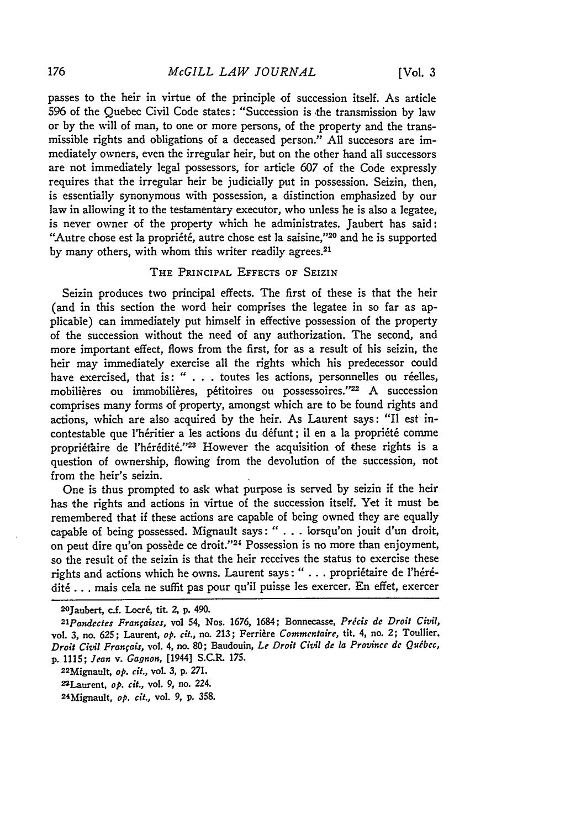passes to the heir in virtue of the principle of succession itself. As article 596 of the Quebec Civil Code states: "Succession is the transmission by law or by the will of man, to one or more persons, of the property and the transmissible rights and obligations of a deceased person." All succesors are immediately owners, even the irregular heir, but on the other hand all successors are not immediately legal possessors, for article 607 of the Code expressly requires that the irregular heir be judicially put in possession. Seizin, then, is essentially synonymous with possession, a distinction emphasized by our law in allowing it to the testamentary executor, who unless he is also a legatee, is never owner of the property which he administrates. Jaubert has said: "Autre chose est la propriété, autre chose est la saisine,"<sup>20</sup> and he is supported by many others, with whom this writer readily agrees.<sup>21</sup>

#### THE PRINCIPAL EFFECTS OF SEIZIN

Seizin produces two principal effects. The first of these is that the heir (and in this section the word heir comprises the legatee in so far as applicable) can immediately put himself in effective possession of the property of the succession without the need of any authorization. The second, and more important effect, flows from the first, for as a result of his seizin, the heir may immediately exercise all the rights which his predecessor could have exercised, that is: " $\ldots$  toutes les actions, personnelles ou réelles, mobilières ou immobilières, pétitoires ou possessoires."<sup>22</sup> A succession comprises many forms of property, amongst which are to be found rights and actions, which are also acquired by the heir. As Laurent says: "Il est incontestable que l'héritier a les actions du défunt; il en a la propriété comme propriétaire de l'hérédité."<sup>23</sup> However the acquisition of these rights is a question of ownership, flowing from the devolution of the succession, not from the heir's seizin.

One is thus prompted to ask what purpose is served by seizin if the heir has the rights and actions in virtue of the succession itself. Yet it must be remembered that if these actions are capable of being owned they are equally capable of being possessed. Mignault says: " . . . lorsqu'on jouit d'un droit, on peut dire qu'on possède ce droit."<sup>24</sup> Possession is no more than enjoyment, so the result of the seizin is that the heir receives the status to exercise these rights and actions which he owns. Laurent says: " . . . propriétaire de l'hérédit6 **...** mais cela ne suffit pas pour qu'il puisse les exercer. En effet, exercer

22Mignault, *op. cit.,* vol. **3,** p. 271.

<sup>2</sup> 0Jaubert, c.f. Locr6, tit. 2, p. 490.

*<sup>21</sup> Pandectes Franfaises,* **vol** 54, Nos. 1676, 1684; Bonnecasse, *Precis de Droit Civil,* vol. **3, no. 625;** Laurent, *op. cit.,* no. 213; Ferriire *Commentaire,* tit. 4, no. 2; Toullier. *Droit Civil Franfais,* vol. 4, no. **80;** Baudouin, *Le Droit Civil de la Province dc Quibcc,* p. 1115; *Jean v. Gagnon,* **[1944]** S.C.R. **175.**

<sup>22</sup>Laurent, *op. cit.,* vol. 9, no. 224.

<sup>24</sup>Mignault, *op. cit.,* vol. **9,** p. 358.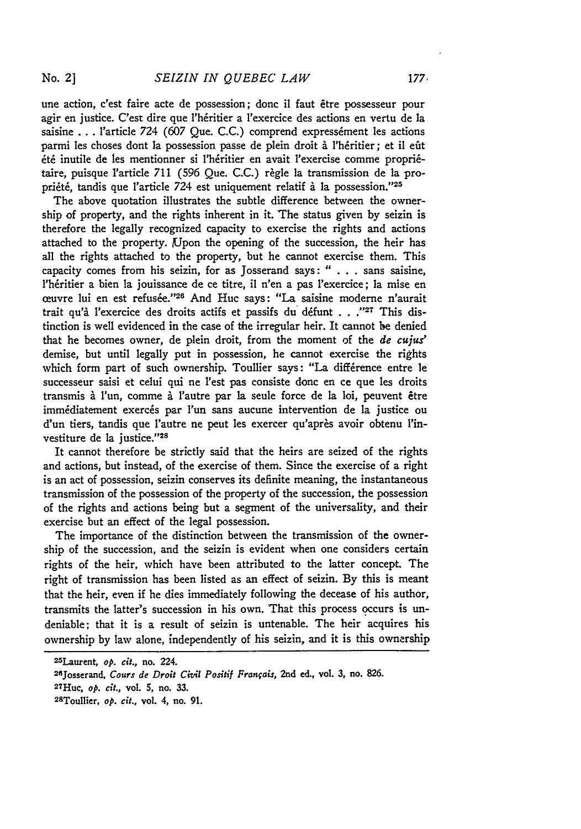une action, c'est faire acte de possession; donc il faut être possesseur pour agir en justice. C'est dire que l'héritier a l'exercice des actions en vertu de la saisine . . . l'article 724 (607 Que. C.C.) comprend expressément les actions parmi les choses dont la possession passe de plein droit à l'héritier; et il eût été inutile de les mentionner si l'héritier en avait l'exercise comme propriétaire, puisque l'article 711 (596 Que. C.C.) règle la transmission de la propriété, tandis que l'article 724 est uniquement relatif à la possession."<sup>25</sup>

The above quotation illustrates the subtle difference between the ownership **of** property, and the rights inherent in it. The status given **by** seizin is therefore the legally recognized capacity to exercise the rights and actions attached to the property. Upon the opening of the succession, the heir has all the rights attached to the property, but he cannot exercise them. This capacity comes from his seizin, for as Josserand says: " **. . .** sans saisine, l'héritier a bien la *jouissance de ce titre*, il n'en a pas l'exercice; la mise en ceuvre lui en est refusée."<sup>26</sup> And Huc says: "La saisine moderne n'aurait trait qu'à l'exercice des droits actifs et passifs du défunt . . .<sup>127</sup> This distinction is well evidenced in the case of the irregular heir. It cannot **be** denied that he becomes owner, de plein droit, from the moment of the *de* cujus' demise, but until legally put in possession, he cannot exercise the rights which form part of such ownership. Toullier says: "La différence entre le successeur saisi et celui qui ne l'est pas consiste donc en ce que les droits transmis i 1'un, comme **5.** l'autre par **la** seule force de **la** loi, peuvent &re immédiatement exercés par l'un sans aucune intervention de la justice ou d'un tiers, tandis que l'autre ne peut les exercer qu'après avoir obtenu l'investiture de la justice."<sup>28</sup>

It cannot therefore be strictly said that the heirs are seized of the rights and actions, but instead, of the exercise of them. Since the exercise of a right is an act of possession, seizin conserves its definite meaning, the instantaneous transmission of the possession of the property of the succession, the possession of the rights and actions being but a segment of the universality, and their exercise but an effect of the legal possession.

The importance of the distinction between the transmission of the ownership of the succession, and the seizin is evident when one considers certain rights of the heir, which have been attributed to the latter concept. The right of transmission has been listed as an effect of seizin. **By** this is meant that the heir, even if he dies immediately following the decease of his author, transmits the latter's succession in his own. That this process occurs is undeniable; that it is a result of seizin is untenable. The heir acquires his ownership **by** law alone, independently of his seizin, and it is this ownership

<sup>25</sup> Laurent, *op. cit.,* no. 224.

<sup>26</sup>Josserand, *Cours de Droit Civil Positif Franfais,* 2nd ed., vol. **3,** no. **826.**

<sup>27</sup> Huc, *op. cit.,* vol. **5,** no. **33.**

<sup>2</sup> 8 Toullier, *op. cit.,* vol. 4, no. **91.**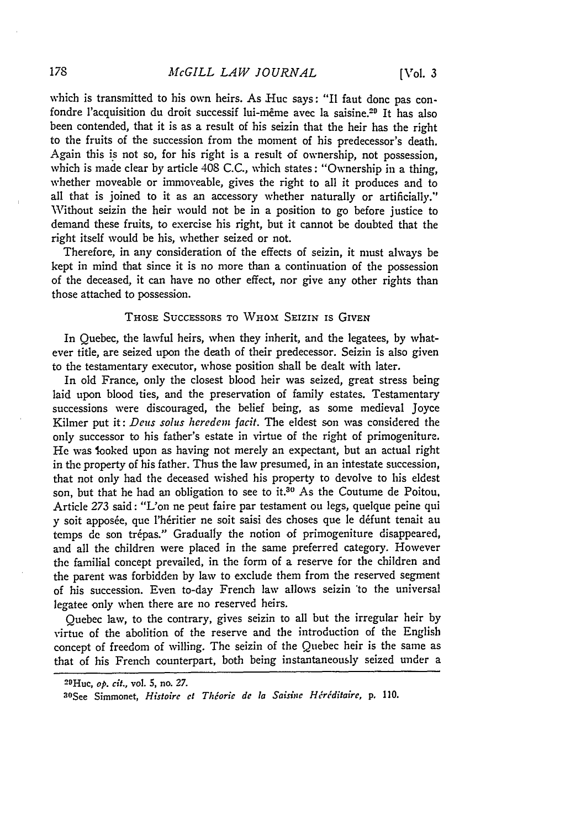which is transmitted to his own heirs. As Huc says: "Il faut donc pas confondre l'acquisition du droit successif lui-même avec la saisine.<sup>29</sup> It has also been contended, that it is as a result of his seizin that the heir has the right to the fruits of the succession from the moment of his predecessor's death. Again this is not so, for his right is a result of ownership, not possession, which is made clear by article 408 C.C., which states: "Ownership in a thing, whether moveable or immoveable, gives the right to all it produces and to all that is joined to it as an accessory whether naturally or artificially." Without seizin the heir would not be in a position to go before justice to demand these fruits, to exercise his right, but it cannot be doubted that the right itself would be his, whether seized or not.

Therefore, in any consideration of the effects of seizin, it must always be kept in mind that since it is no more than a continuation of the possession of the deceased, it can have no other effect, nor give any other rights than those attached to possession.

## THOSE SUCCESSORS TO WHOM SEIZIN IS GIVEN

In Quebec, the lawful heirs, when they inherit, and the legatees, **by** whatever title, are seized upon the death of their predecessor. Seizin is also given to the testamentary executor, whose position shall be dealt with later.

In old France, only the closest blood heir was seized, great stress being laid upon blood ties, and the preservation of family estates. Testamentary successions were discouraged, the belief being, as some medieval Joyce Kilmer put it: *Deus solus* heredem *facit.* The eldest son was considered the only successor to his father's estate in virtue of the right of primogeniture. He was looked upon as having not merely an expectant, but an actual right in the property of his father. Thus the law presumed, in an intestate succession, that not only had the deceased wished his property to devolve to his eldest son, but that he had an obligation to see to it.<sup>30</sup> As the Coutume de Poitou, Article 273 said: "L'on ne peut faire par testament ou legs, quelque peine qui **y** soit apposée, que l'héritier ne soit saisi des choses que le défunt tenait au temps de son trépas." Gradually the notion of primogeniture disappeared, and all the children were placed in the same preferred category. However the familial concept prevailed, in the form of a reserve for the children and the parent was forbidden **by** law to exclude them from the reserved segment of his succession. Even to-day French law allows seizin \*to the universal legatee only when there are no reserved heirs.

Quebec law, to the contrary, gives seizin to all but the irregular heir by virtue of the abolition of the reserve and the introduction of the English concept of freedom of willing. The seizin of the Quebec heir is the same as that of his French counterpart, both being instantaneously seized under a

<sup>2</sup> Huc, *op. cit.,* vol. **5,** no. *27.*

<sup>3</sup>OSee Simmonet, *Histoire* ct *Thioric* **de** *la Saishic Hriditaire,* **p.** 110.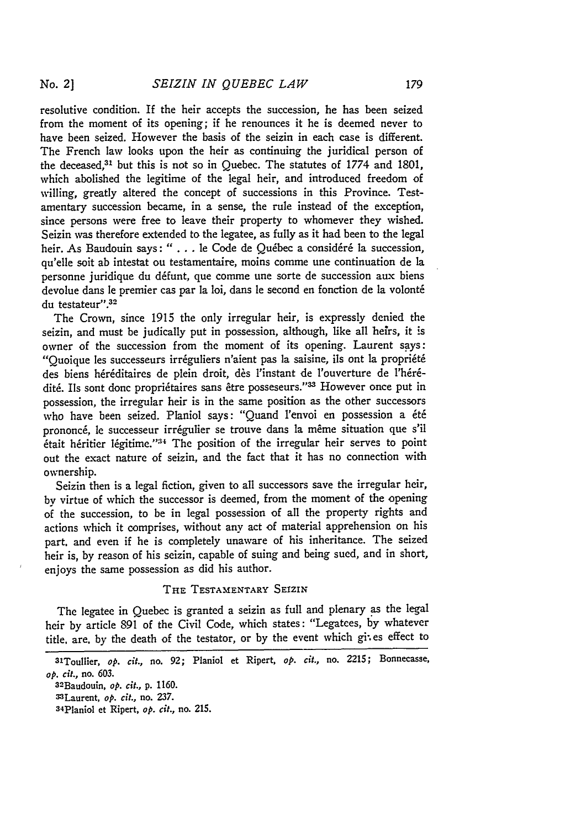resolutive condition. If the heir accepts the succession, he has been seized from the moment of its opening; if he renounces it he is deemed never to have been seized. However the basis of the seizin in each case is different. The French law looks upon the heir as continuing the juridical person of the deceased,<sup>3</sup> ' but this is not so in Quebec. The statutes of **1774** and **1801,** which abolished the legitime of the legal heir, and introduced freedom of willing, greatly altered the concept of successions in this Province. Testamentary succession became, in a sense, the rule instead of the exception, since persons were free to leave their property to whomever they wished. Seizin was therefore extended to the legatee, as fully as it had been to the legal heir. As Baudouin says: " . . . le Code de Québec a considéré la succession, qu'elle soit ab intestat ou testamentaire, moins comme une continuation de **la** personne juridique du défunt, que comme une sorte de succession aux biens devolue dans le premier cas par **la** loi, dans le second en fonction de **la** volont6 du testateur".<sup>32</sup>

The Crown, since 1915 the only irregular heir, is expressly denied the seizin, and must be judically put in possession, although, like all heirs, it is owner of the succession from the moment of its opening. Laurent says: "Quoique les successeurs irréguliers n'aient pas la saisine, ils ont la propriété des biens héréditaires de plein droit, dès l'instant de l'ouverture de l'hérédité. Ils sont donc propriétaires sans être posseseurs."<sup>33</sup> However once put in possession, the irregular heir is in the same position as the other successors who have been seized. Planiol says: "Quand l'envoi en possession a été prononcé, le successeur irrégulier se trouve dans la même situation que s'il etait heritier legitime."<sup>34</sup> The position of the irregular heir serves to point out the exact nature of seizin, and the fact that it has no connection with ownership.

Seizin then is a legal fiction, given to all successors save the irregular heir, **by** virtue of which the successor is deemed, from the moment of the opening of the succession, to be in legal possession of all the property rights and actions which it comprises, without any act of material apprehension on his part. and even if he is completely unaware of his inheritance. The seized heir is, **by** reason of his seizin, capable of suing and being sued, and in short, enjoys the same possession as did his author.

#### THE TESTAMENTARY SEIZIN

The legatee in Quebec is granted a seizin as full and plenary as the legal heir by article 891 of the Civil Code, which states: "Legatees, by whatever title, are, by the death of the testator, or by the event which gi; es effect to

32Baudouin, *op. cit.,* **p.** 1160.

<sup>3&#</sup>x27;Toullier, *op. cit.,* no. **92;** Planiol et Ripert, *op. cit.,* no. 2215; Bonnecasse, *op. cit.,* no. **603.**

<sup>3</sup>Laurent, *op. cit.,* no. **237.**

<sup>34</sup>PIaniol et Ripert, *op. cit.,* no. 215.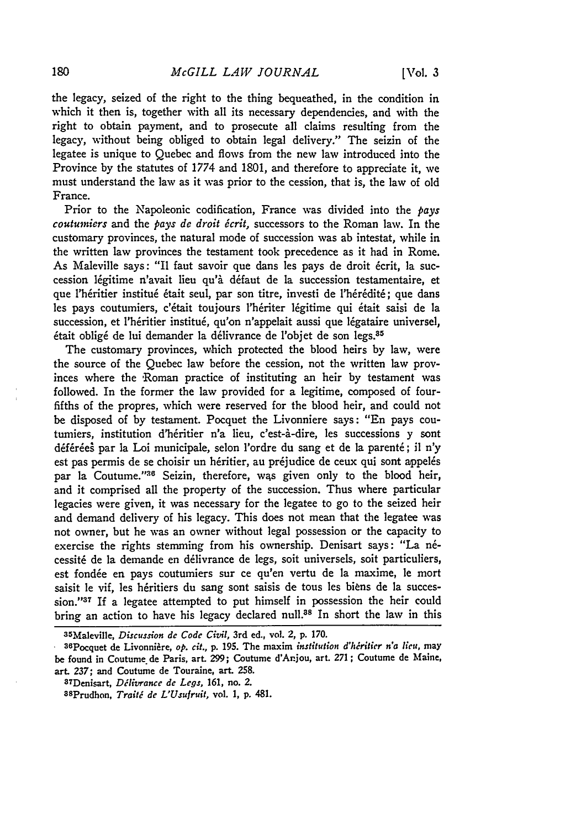the legacy, seized of the right to the thing bequeathed, in the condition in which it then is, together with all its necessary dependencies, and with the right to obtain payment, and to prosecute all claims resulting from the legacy, without being obliged to obtain legal delivery." The seizin of the legatee is unique to Quebec and flows from the new law introduced into the Province **by** the statutes of **1774** and **1801,** and therefore to appreciate it, we must understand the law as it was prior to the cession, that is, the law of old France.

Prior to the Napoleonic codification, France was divided into the pays *coutumiers* and the *pays de droit écrit*, successors to the Roman law. In the customary provinces, the natural mode of succession was ab intestat, while in the written law provinces the testament took precedence as it had in Rome. As Maleville says: "Il faut savoir que dans les pays de droit écrit, la succession légitime n'avait lieu qu'à défaut de la succession testamentaire, et que l'héritier institué était seul, par son titre, investi de l'hérédité; que dans les pays coutumiers, c'était toujours l'hériter légitime qui était saisi de la succession, et l'héritier institué, qu'on n'appelait aussi que légataire universel, était obligé de lui demander la délivrance de l'objet de son legs.<sup>35</sup>

The customary provinces, which protected the blood heirs **by** law, were the source of the Quebec law before the cession, not the written law provinces where the 'Roman practice of instituting an heir **by** testament was followed. In the former the law provided for a legitime, composed of fourfifths of the propres, which were reserved for the blood heir, and could not be disposed of **by** testament. Pocquet the Livonniere says: "En pays coutumiers, institution d'héritier n'a lieu, c'est-à-dire, les successions y sont déférées par la Loi municipale, selon l'ordre du sang et de la parenté; il n'y est pas permis de se choisir un héritier, au préjudice de ceux qui sont appelés par la Coutume."<sup>36</sup> Seizin, therefore, was given only to the blood heir, and it comprised all the property of the succession. Thus where particular legacies were given, it was necessary for the legatee to go to the seized heir and demand delivery of his legacy. This does not mean that the legatee was not owner, but he was an owner without legal possession or the capacity to exercise the rights stemming from his ownership. Denisart says: "La nécessité de la demande en délivrance de legs, soit universels, soit particuliers, est fondée en pays coutumiers sur ce qu'en vertu de la maxime, le mort saisit le vif, les héritiers du sang sont saisis de tous les biens de la succession."<sup>37</sup> If a legatee attempted to put himself in possession the heir could bring an action to have his legacy declared null.<sup>38</sup> In short the law in this

<sup>3</sup> 5 Maleville, *Discussion de Code Civil,* 3rd ed., vol. 2, p. 170.

<sup>36</sup>Pocquet de Livonniire, *op. cit.,* **p.** 195. The maxim *institution d'hritier n'a lieu,* may be found in Coutume de Paris, art. **299;** Coutume d'Anjou, art. **271;** Coutume de Maine, art. *237;* and Coutume de Touraine, art. **258.**

<sup>37</sup> Denisart, *Dilivrance de Legs,* **161,** no. 2.

<sup>3</sup>SPrudhon, *Trait' de L'Usufruit,* vol. **1, p.** 481.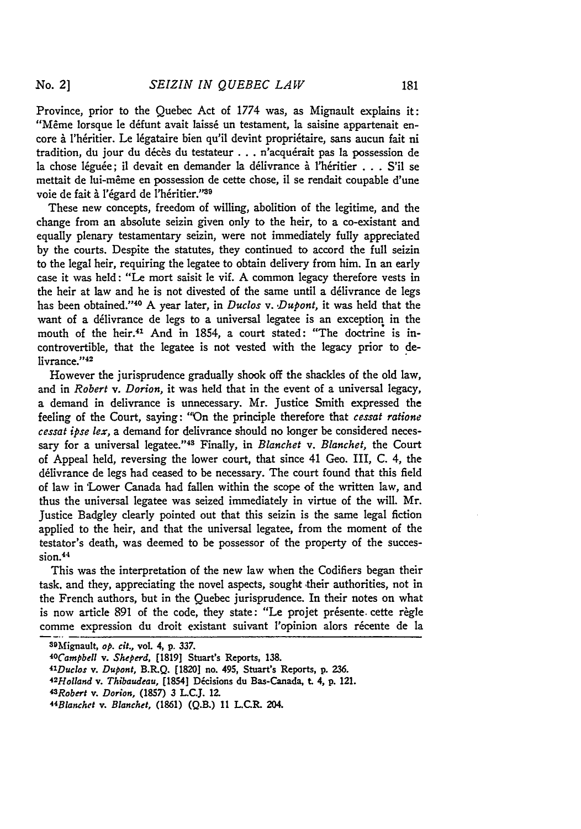Province, prior to the Quebec Act of 1774 was, as Mignault explains it: "Même lorsque le défunt avait laissé un testament, la saisine appartenait encore à l'héritier. Le légataire bien qu'il devint propriétaire, sans aucun fait ni tradition, du jour du décès du testateur... n'acquérait pas la possession de la chose léguée; il devait en demander la délivrance à l'héritier . . . S'il se mettait de lui-même en possession de cette chose, il se rendait coupable d'une voie de fait à l'égard de l'héritier."<sup>39</sup>

These new concepts, freedom of willing, abolition of the legitime, and the change from an absolute seizin given only to the heir, to a co-existant and equally plenary testamentary seizin, were not immediately fully appreciated by the courts. Despite the statutes, they continued to accord the full seizin to the legal heir, requiring the legatee to obtain delivery from him. In an early case it was held: "Le mort saisit le vif. A common legacy therefore vests in the heir at law and he is not divested of the same until a délivrance de legs has been obtained."<sup>40</sup> A year later, in *Duclos v. Dupont*, it was held that the want of a délivrance de legs to a universal legatee is an exception in the mouth of the heir.41 And in 1854, a court stated: "The doctrine is incontrovertible, that the legatee is not vested with the legacy prior to delivrance."<sup>42</sup>

However the jurisprudence gradually shook off the shackles of the old law, and in *Robert v. Dorion,* it was held that in the event of a universal legacy, a demand in delivrance is unnecessary. Mr. Justice Smith expressed the feeling of the Court, saying: "On the principle therefore that *cessat ratione cessat ipse lex,* a demand for delivrance should no longer be considered necessary for a universal legatee." 43 Finally, in *Blanchet v. Blanchet,* the Court of Appeal held, reversing the lower court, that since 41 Geo. III, C. 4, the délivrance de legs had ceased to be necessary. The court found that this field of law in 'Lower Canada had fallen within the scope of the written law, and thus the universal legatee was seized immediately in virtue of the will. Mr. justice Badgley clearly pointed out that this seizin is the same legal fiction applied to the heir, and that the universal legatee, from the moment of the testator's death, was deemed to be possessor of the property of the succession.<sup>44</sup>

This was the interpretation of the new law when the Codifiers began their task, and they, appreciating the novel aspects, sought their authorities, not in the French authors, but in the Quebec jurisprudence. In their notes on what is now article 891 of the code, they state: "Le projet présente cette règle comme expression du droit existant suivant l'opinion alors récente de la

<sup>39</sup>Mignault, *op. cit.,* vol. 4, **p. 337.**

*<sup>4</sup>OCampbell v. Sheperd,* **[1819]** Stuart's Reports, **138.**

*<sup>4</sup> 1 Duclos v. Dupont,* **B.R.Q. [1820]** no. 495, Stuart's Reports, **p. 236.**

*<sup>42</sup>Holand* v. *Thibaudeau,* [1854] Dicisions **du** Bas-Canada, **t.** 4, **p. 121.**

*<sup>43</sup> Robert v. Dorion,* **(1857) 3 L.C.J. 12.**

*<sup>44</sup> Blanchet v. Blanchet,* **(1861) (Q.B.) 11 LC.R. 204.**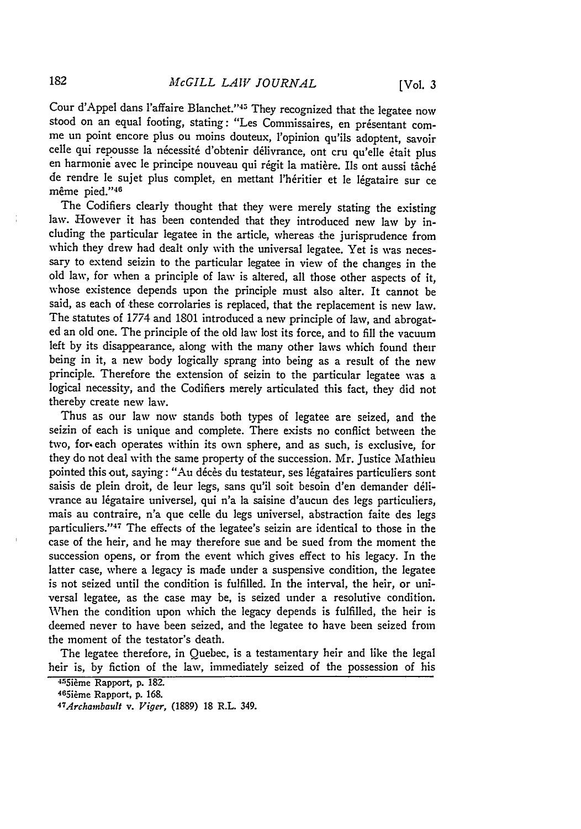Cour d'Appel dans l'affaire Blanchet."<sup>45</sup> They recognized that the legatee now stood on an equal footing, stating: "Les Commissaires, en présentant comme un point encore plus ou moins douteux, l'opinion qu'ils adoptent, savoir celle qui repousse la nécessité d'obtenir délivrance, ont cru qu'elle était plus en harmonie avec le principe nouveau qui régit la matière. Ils ont aussi tâché de rendre le sujet plus complet, en mettant l'héritier et le légataire sur ce même pied."<sup>46</sup>

The Codifiers clearly thought that they were merely stating the existing law. However it has been contended that they introduced new law by including the particular legatee in the article, whereas the jurisprudence from which they drew had dealt only with the universal legatee. Yet is was necessary to extend seizin to the particular legatee in view of the changes in the old law, for when a principle of law is altered, all those other aspects of it, whose existence depends upon the principle must also alter. It cannot be said, as each of these corrolaries is replaced, that the replacement is new law. The statutes of 1774 and 1801 introduced a new principle of law, and abrogated an old one. The principle of the old law lost its force, and to **fill** the vacuum left by its disappearance, along with the many other laws which found their being in it, a new body logically sprang into being as a result of the new principle. Therefore the extension of seizin to the particular legatee was a logical necessity, and the Codifiers merely articulated this fact, they did not thereby create new law.

Thus as our law now stands both types of legatee are seized, and the seizin of each is unique and complete. There exists no conflict between the two, for. each operates within its own sphere, and as such, is exclusive, for they do not deal with the same property of the succession. Mr. Justice Mathieu pointed this out, saying: "Au décès du testateur, ses légataires particuliers sont saisis de plein droit, de leur legs, sans qu'il soit besoin d'en demander delivrance au légataire universel, qui n'a la saisine d'aucun des legs particuliers, mais au contraire, n'a que celle du legs universel, abstraction faite des legs particuliers."<sup>47</sup> The effects of the legatee's seizin are identical to those in the case of the heir, and he may therefore sue and be sued from the moment the succession opens, or from the event which gives effect to his legacy. In the latter case, where a legacy is made under a suspensive condition, the legatee is not seized until the condition is fulfilled. In the interval, the heir, or universal legatee, as the case may be, is seized under a resolutive condition. When the condition upon which the legacy depends is fulfilled, the heir is deemed never to have been seized, and the legatee to have been seized from the moment of the testator's death.

The legatee therefore, in Quebec, is a testamentary heir and like the legal heir is, **by** fiction of the law, immediately seized of the possession of his

<sup>455</sup> ième Rapport, p. 182.

<sup>465</sup>ième Rapport, p. 168.

*Archambault v. Viger,* (1889) **18** R.L. 349.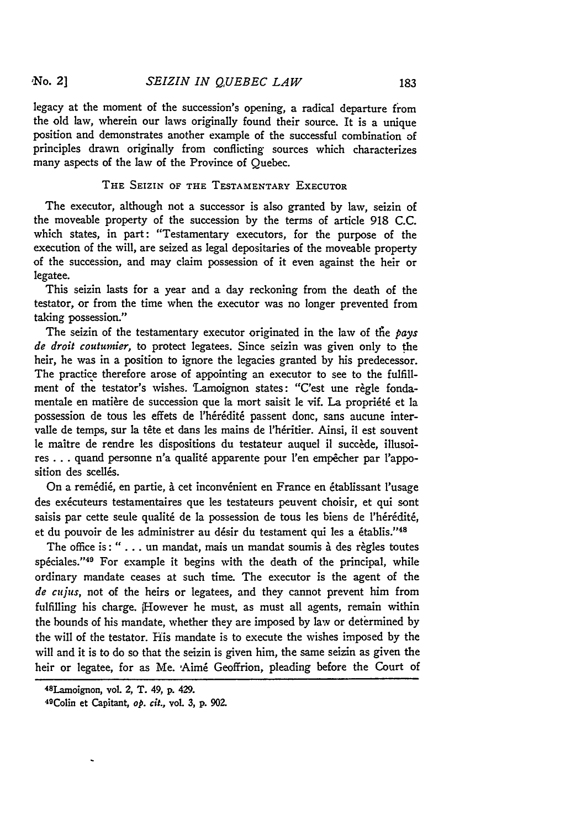legacy at the moment of the succession's opening, a radical departure from the old law, wherein our laws originally found their source. It is a unique position and demonstrates another example of the successful combination of principles drawn originally from conflicting sources which characterizes many aspects of the law of the Province of Quebec.

## **THE** SEIZIN OF **THE** TESTAMENTARY EXECUTOR

The executor, although not a successor is also granted by law, seizin of the moveable property of the succession by the terms of article 918 C.C. which states, in part: "Testamentary executors, for the purpose of the execution of the will, are seized as legal depositaries of the moveable property of the succession, and may claim possession of it even against the heir or legatee.

This seizin lasts for a year and a day reckoning from the death of the testator, or from the time when the executor was no longer prevented from taking possession."

The seizin of the testamentary executor originated in the law of tie *pays* de *droit coutumier,* to protect legatees. Since seizin was given only to the heir, he was in a position to ignore the legacies granted by his predecessor. The practice therefore arose of appointing an executor to see to the fulfillment of the testator's wishes. Lamoignon states: "C'est une règle fondamentale en matière de succession que la mort saisit le vif. La propriété et la possession de tous les effets de l'hérédité passent donc, sans aucune intervalle de temps, sur la tête et dans les mains de l'héritier. Ainsi, il est souvent le maître de rendre les dispositions du testateur auquel il succède, illusoires . . . quand personne n'a qualité apparente pour l'en empêcher par l'apposition des scellés.

On a remédié, en partie, à cet inconvénient en France en établissant l'usage des exécuteurs testamentaires que les testateurs peuvent choisir, et qui sont saisis par cette seule qualité de la possession de tous les biens de l'hérédité, et du pouvoir de les administrer au désir du testament qui les a établis."48

The office is: " $\dots$  un mandat, mais un mandat soumis à des règles toutes spéciales."<sup>49</sup> For example it begins with the death of the principal, while ordinary mandate ceases at such time. The executor is the agent of the **de** *cujus,* not of the heirs or legatees, and they cannot prevent him from fulfilling his charge. However he must, as must all agents, remain within the bounds of his mandate, whether they are imposed by law or determined by the will of the testator. His mandate is to execute the wishes imposed by the will and it is to do so that the seizin is given him, the same seizin as given the heir or legatee, for as Me. Aimé Geoffrion, pleading before the Court of

<sup>48</sup> Lamoignon, vol. 2, T. 49, **p.** 429.

<sup>49</sup> Colin et Capitant, *op. cit.,* vol. **3, p. 902.**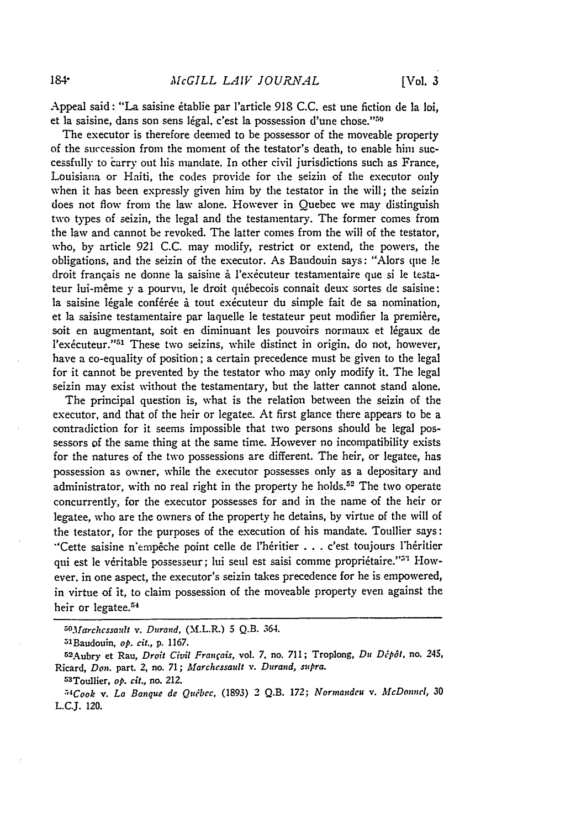Appeal said: "La saisine 6tablie par l'article 918 C.C. est une fiction de ]a loi, et la saisine, dans son sens légal, c'est la possession d'une chose."<sup>50</sup>

The executor is therefore deemed to be possessor of the moveable property of the succession from the moment of the testator's death, to enable **him** successfully to carry out his mandate. In other civil jurisdictions such as France, Louisiana or Haiti, the codes provide for the seizin of the executor only when it has been expressly given him by the testator in the will; the seizin does not flow from the law alone. However in Quebec we may distinguish two types of seizin, the legal and the testamentary. The former comes from the law and cannot be revoked. The latter comes from the will of the testator, who, by article 921 C.C. may modify, restrict or extend, the powers, **the** obligations, and the seizin of the executor. As Baudouin says: "Alors que **!e** droit français ne donne la saisine à l'exécuteur testamentaire que si le testateur lui-même y a pourvu, le droit québecois connait deux sortes de saisine: la saisine légale conférée à tout exécuteur du simple fait de sa nomination, et la saisine testamentaire par laquelle le testateur peut modifier la première, soit en augmentant, soit en diminuant les pouvoirs normaux et légaux de l'exécuteur."<sup>51</sup> These two seizins, while distinct in origin, do not, however, have a co-equality of position; a certain precedence must be given to the legal for it cannot be prevented by the testator who may only modify it. The legal seizin may exist without the testamentary, but the latter cannot stand alone.

The principal question is, what is the relation between the seizin of the executor, and that of the heir or legatee. At first glance there appears to be a contradiction for it seems impossible that two persons should be legal possessors of the same thing at the same time. However no incompatibility exists for the natures of the two possessions are different. The heir, or legatee, has possession as owner, while the executor possesses only as a depositary and administrator, with no real right in the property he holds.<sup>52</sup> The two operate concurrently, for the executor possesses for and in the name of the heir or legatee, who are the owners of the property he detains, by virtue of the will of the testator, for the purposes of the execution of his mandate. Toullier says: "Cette saisine n'empêche point celle de l'héritier . . . c'est toujours l'héritier qui est le véritable possesseur; lui seul est saisi comme propriétaire."<sup>3</sup> However, in one aspect, the executor's seizin takes precedence for he is empowered, in virtue of it, to claim possession of the moveable property even against the heir or legatee.<sup>54</sup>

*<sup>5</sup> o. Iarchcssa'dt v. Durand,* (M.L.R.) 5 **Q.B.** 364.

<sup>5</sup>lBaudouin, *op. cit.,* **p. 1167.**

<sup>5</sup> 5 2Aubry et Rau, *Droit Civil Fran¢ais,* vol. **7,** no. **711;** Troplong, *Du D,5 p61,* **no.** 245, Ricard, *Don.* part. *2,* no. **71;** *Marchessaull v. Durand, supra.*

<sup>53</sup> Toullier, *op. cit.,* no. 212.

*<sup>•</sup> 4Cook v. La Banque de Quibec,* **(1893)** 2 **Q.B.** *172; Aornandeu v. McDonndl,* **30 L.C.J.** 120.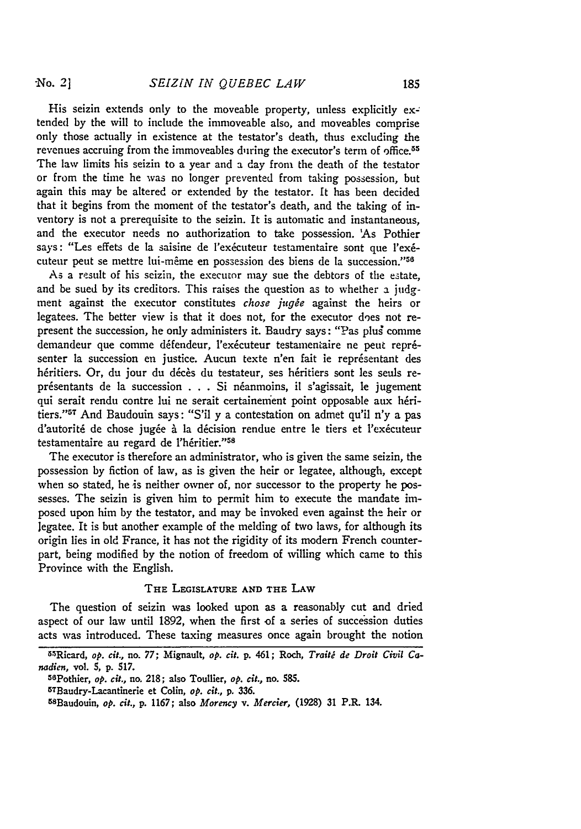-No. 2]

His seizin extends only to the moveable property, unless explicitly extended **by** the will to include the immoveable also, and moveables comprise only those actually in existence at the testator's death, thus excluding the revenues accruing from the immoveables during the executor's term of office.<sup>55</sup> The law limits his seizin to a year and a day from the death of the testator or from the time he was no longer prevented from taking possession, but again this may be altered or extended **by** the testator. It has been decided that it begins from the moment of the testator's death, and the taking of inventory is not a prerequisite to the seizin. It is automatic and instantaneous, and the executor needs no authorization to take possession. 'As Pothier says: "Les effets de la saisine de l'exécuteur testamentaire sont que l'exécuteur peut se mettre lui-même en possession des biens de la succession."<sup>56</sup>

As a result of his seizin, the executor may sue the debtors of the estate, and be sued by its creditors. This raises the question as to whether a judgment against the executor constitutes *chose jugée* against the heirs or legatees. The better view is that it does not, for the executor does not represent the succession, he only administers it. Baudry says: "Pas plug comme demandeur que comme défendeur, l'exécuteur testamentaire ne peut représenter la succession en justice. Aucun texte n'en fait ie représentant des héritiers. Or, du jour du décès du testateur, ses héritiers sont les seuls représentants de la succession . . . Si néanmoins, il s'agissait, le jugement qui serait rendu contre lui ne serait certainement point opposable aux héritiers." 57 And Baudouin says: "S'il y a contestation on admet qu'il *n'y* a pas d'autorité de chose jugée à la décision rendue entre le tiers et l'exécuteur testamentaire au regard de l'héritier."<sup>58</sup>

The executor is therefore an administrator, who is given the same seizin, the possession by fiction of law, as is given the heir or legatee, although, except when so stated, he is neither owner of, nor successor to the property he possesses. The seizin is given him to permit him to execute the mandate imposed upon him by the testator, and may be invoked even against the heir or legatee. It is but another example of the melding of two laws, for although its origin lies in old France, it has not the rigidity of its modern French counterpart, being modified by the notion of freedom of willing which came to this Province with the English.

#### **THE LEGISLATURE AND THE LAW**

The question of seizin was looked upon as a reasonably cut and dried aspect of our law until **1892,** when the first of a series of succession duties acts was introduced. These taxing measures once again brought the notion

<sup>5</sup> .sRicard, *op. cit.,* no. **77;** Mignault, *op. cit.* **p.** 461; Roch, *Traiti de Droit Civil Canadien,* vol. **5, p. 517.**

<sup>56</sup>Pothier, *op. cit.,* no. 218; also Toullier, *op. cit.,* no. **585.**

<sup>5</sup> TBaudry-Lacantinerie et Colin, *op. cit.,* **p.** 336.

<sup>58</sup> Baudouin, *op. cit.,* **p. 1167;** also *Morency v. Mercier,* (1928) 31 P.R. 134.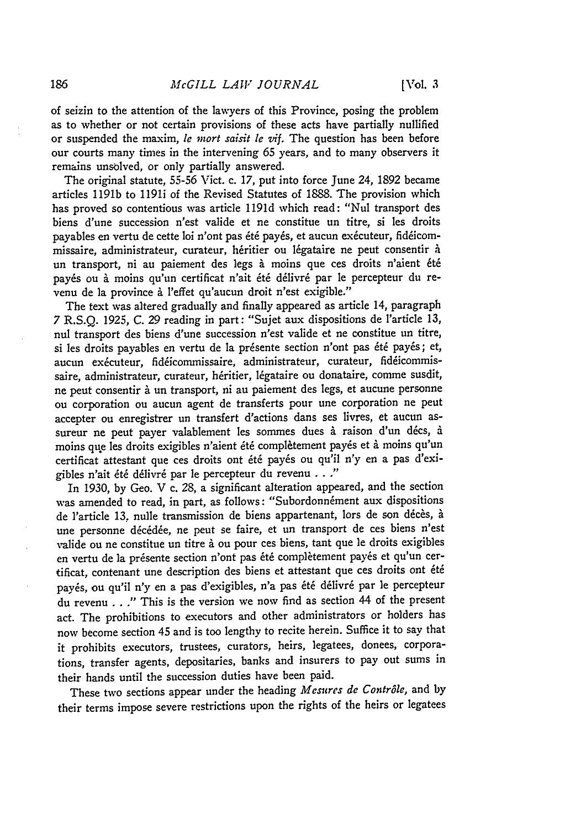of seizin to the attention of the lawyers of this Province, posing the problem as to whether or not certain provisions of these acts have partially nullified or suspended the maxim, *le mort saisit le vif.* The question has been before our courts many times in the intervening 65 years, and to many observers it remains unsblved, or only partially answered.

The original statute, 55-56 Vict. c. 17, put into force June 24, 1892 became articles 1191b to 1191i of the Revised Statutes of 1888. The provision which has proved so contentious was article 1191d which read: "Nul transport des biens d'une succession n'est valide et ne constitue un titre, si les droits payables en vertu de cette loi n'ont pas été payés, et aucun exécuteur, fidéicommissaire, administrateur, curateur, héritier ou légataire ne peut consentir à un transport, ni au paiement des legs à moins que ces droits n'aient été payés ou à moins qu'un certificat n'ait été délivré par le percepteur du revenu de la province à l'effet qu'aucun droit n'est exigible."

The text was altered gradually and finally appeared as article 14, paragraph 7 R.S.Q. 1925, C. 29 reading in part: "Sujet aux dispositions de P'article 13, nul transport des biens d'une succession n'est valide et ne constitue un titre, si les droits payables en vertu de la présente section n'ont pas été payés; et, aucun exécuteur, fidéicommissaire, administrateur, curateur, fidéicommissaire, administrateur, curateur, héritier, légataire ou donataire, comme susdit, ne peut consentir à un transport, ni au paiement des legs, et aucune personne ou corporation ou aucun agent de transferts pour une corporation ne peut accepter ou enregistrer un transfert d'actions dans ses livres, et aucun assureur ne peut payer valablement les sommes dues à raison d'un décs, à moins que les droits exigibles n'aient été complètement payés et à moins qu'un certificat attestant que ces droits ont 6t6 payts ou qu'il *n'y* en a pas d'exigibles n'ait 6t6 dtlivr6 par le percepteur du revenu *... "*

In 1930, by Geo. V c. 28, a significant alteration appeared, and the section was amended to read, in part, as follows: "Subordonnement aux dispositions de l'article 13, nulle transmission de biens appartenant, lors de son décès, à une personne décédée, ne peut se faire, et un transport de ces biens n'est valide ou ne constitue un titre à ou pour ces biens, tant que le droits exigibles en vertu de la présente section n'ont pas été complètement payés et qu'un certificat, contenant une description des biens et attestant que ces droits ont été payés, ou qu'il n'y en a pas d'exigibles, n'a pas été délivré par le percepteur du revenu **. .** ." This is the version we now find as section 44 of the present act. The prohibitions to executors and other administrators or holders has now become section 45 and is too lengthy to recite herein. Suffice it to say that it prohibits executors, trustees, curators, heirs, legatees, donees, corporations, transfer agents, depositaries, banks and insurers to pay out sums in their hands until the succession duties have been paid.

These two sections appear under the heading *Mesures de Contr6le,* and by their terms impose severe restrictions upon the rights of the heirs or legatees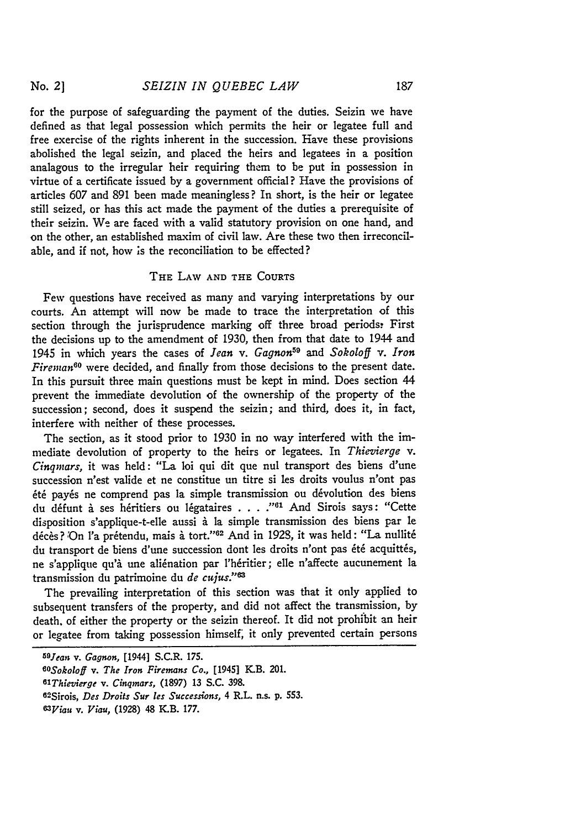for the purpose of safeguarding the payment of the duties. Seizin we have defined as that legal possession which permits the heir or legatee full and free exercise of the rights inherent in the succession. Have these provisions abolished the legal seizin, and placed the heirs and legatees in a position analagous to the irregular heir requiring them to be put in possession in virtue of a certificate issued by a government official? Have the provisions of articles 607 and 891 been made meaningless? In short, is the heir or legatee still seized, or has this act made the payment of the duties a prerequisite of their seizin. We are faced with a valid statutory provision on one hand, and on the other, an established maxim of civil law. Are these two then irreconcilable, and if not, how is the reconciliation to be effected?

# **THE** LAW **AND THE COURTS**

Few questions have received as many and varying interpretations by our courts. An attempt will now be made to trace the interpretation of this section through the jurisprudence marking off three broad periods. First the decisions up to the amendment of 1930, then from that date to 1944 and 1945 in which years the cases of *Jean v. Gagnon59 and Sokoloff v. Iron Fireman60* were decided, and finally from those decisions to the present date. In this pursuit three main questions must be kept in mind. Does section 44 prevent the immediate devolution of the ownership of the property of the succession; second, does it suspend the seizin; and third, does it, in fact, interfere with neither of these processes.

The section, as it stood prior to 1930 in no way interfered with the immediate devolution of property to the heirs or legatees. In *Thievierge v. Cinqinars,* it was held: "La loi qui dit que nul transport des biens d'une succession n'est valide et ne constitue un titre si les droits voulus n'ont pas été payés ne comprend pas la simple transmission ou dévolution des biens du défunt à ses héritiers ou légataires . . . ."<sup>61</sup> And Sirois says: "Cette disposition s'applique-t-elle aussi à la simple transmission des biens par le décès? On l'a prétendu, mais à tort."<sup>62</sup> And in 1928, it was held: "La nullité du transport de biens d'une succession dont les droits n'ont pas été acquittés, ne s'applique qu'à une aliénation par l'héritier; elle n'affecte aucunement la transmission du patrimoine du *de cujus.*"<sup>63</sup>

The prevailing interpretation of this section was that it only applied to subsequent transfers of the property, and did not affect the transmission, by death, of either the property or the seizin thereof. It did not prohibit an heir or legatee from taking possession himself, it only prevented certain persons

| <sup>59</sup> Jean v. Gagnon, [1944] S.C.R. 175.                  |
|-------------------------------------------------------------------|
| <sup>60</sup> Sokoloff v. The Iron Firemans Co., [1945] K.B. 201. |
| <sup>61</sup> Thievierge v. Cingmars, (1897) 13 S.C. 398.         |
| 62Sirois, Des Droits Sur les Successions, 4 R.L. n.s. p. 553.     |
| $63$ <i>Yiau v. Viau.</i> (1928) 48 K.B. 177.                     |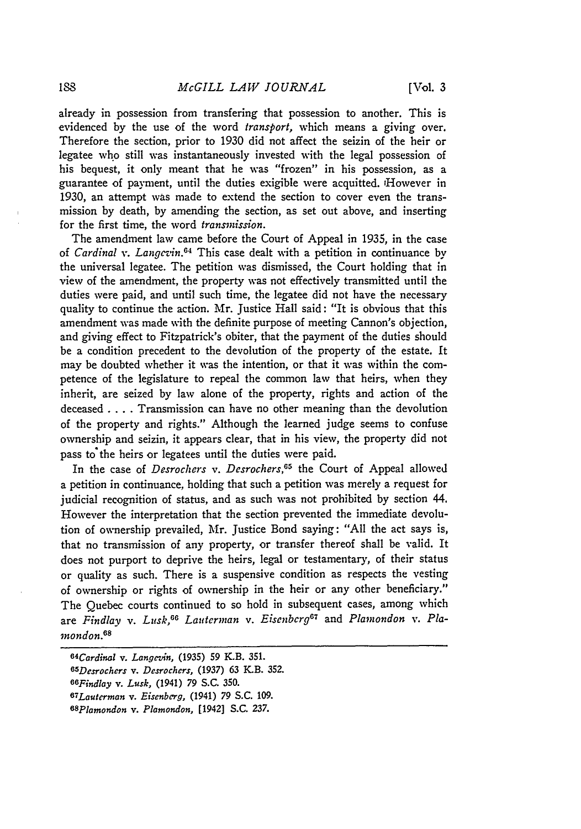already in possession from transfering that possession to another. This is evidenced by the use of the word *transport,* which means a giving over. Therefore the section, prior to 1930 did not affect the seizin of the heir or legatee who still was instantaneously invested with the legal possession of his bequest, it only meant that he was "frozen" in his possession, as a guarantee of payment, until the duties exigible were acquitted. 'However in 1930, an attempt was made to extend the section to cover even the transmission by death, by amending the section, as set out above, and inserting for the first time, the word *transmission.*

The amendment law came before the Court of Appeal in 1935, in the case of *Cardinal v. Langevin.6 <sup>4</sup>*This case dealt with a petition in continuance by the universal legatee. The petition was dismissed, the Court holding that in view of the amendment, the property was not effectively transmitted until the duties were paid, and until such time, the legatee did not have the necessary quality to continue the action. Mr. Justice Hall said: "It is obvious that this amendment was made with the definite purpose of meeting Cannon's objection, and giving effect to Fitzpatrick's obiter, that the payment of the duties should be a condition precedent to the devolution of the property of the estate. It may be doubted whether it was the intention, or that it was within the competence of the legislature to repeal the common law that heirs, when they inherit, are seized by law alone of the property, rights and action of the deceased **....** Transmission can have no other meaning than the devolution of the property and rights." Although the learned judge seems to confuse ownership and seizin, it appears clear, that in his view, the property did not pass to'the heirs or legatees until the duties were paid.

In the case of *Desrochers v. Desrochers*,<sup>65</sup> the Court of Appeal allowed a petition in continuance, holding that such a petition was merely a request for judicial recognition of status, and as such was not prohibited by section 44. However the interpretation that the section prevented the immediate devolution of ownership prevailed, Mr. Justice Bond saying: "All the act says is, that no transmission of any property, or transfer thereof shall be valid. It does not purport to deprive the heirs, legal or testamentary, of their status or quality as such. There is a suspensive condition as respects the vesting of ownership or rights of ownership in the heir or any other beneficiary." The Quebec courts continued to so hold in subsequent cases, among which are Findlay v. Lusk,<sup>66</sup> Lauterman v. Eisenberg<sup>67</sup> and Plamondon v. Pla-*7nondon.68*

*<sup>64</sup>Cardinal v. Langevin,* **(1935) 59** K.B. **351.** *65 Desrochers v. Desrochers,* (1937) 63 *Y-B.* 352. *6SFindlay v. Lusk,* (1941) 79 S.C. 350. *67 Lauterman v. Eiscnberg,* (1941) 79 S.C. 109. *68 Plamondon v. Plamondon,* [1942] S.C. 237.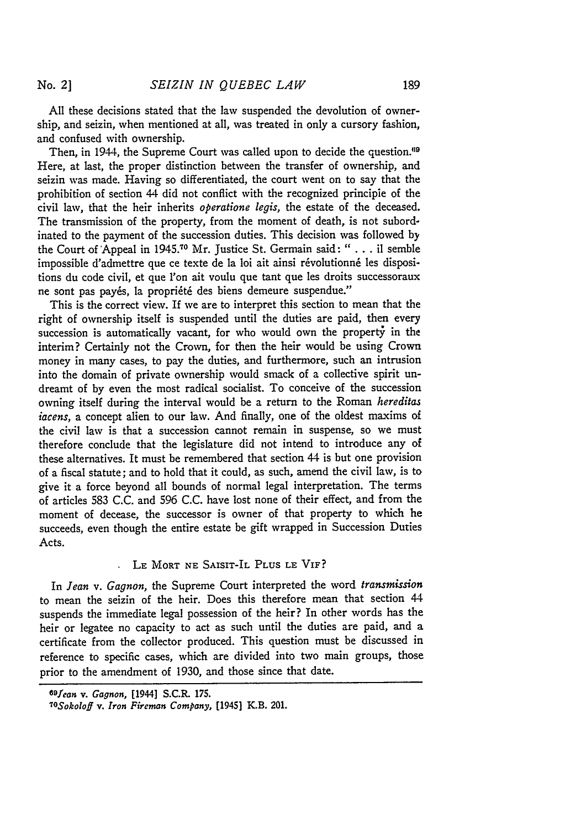All these decisions stated that the law suspended the devolution of ownership, and seizin, when mentioned at all, was treated in only a cursory fashion, and confused with ownership.

Then, in 1944, the Supreme Court was called upon to decide the question.<sup>69</sup> Here, at last, the proper distinction between the transfer of ownership, and seizin was made. Having so differentiated, the court went on to say that the prohibition of section 44 did not conflict with the recognized principle of the civil law, that the heir inherits *operatione legis,* the estate of the deceased. The transmission of the property, from the moment of death, is not subordinated to the payment of the succession duties. This decision was followed by the Court of Appeal in 1945.70 Mr. Justice St. Germain said: **"** . . . il semble impossible d'admettre que ce texte de la loi ait ainsi révolutionné les dispositions du code civil, et que l'on ait voulu que tant que les droits successoraux ne sont pas payés, la propriété des biens demeure suspendue."

This is the correct view. If we are to interpret this section to mean that the right of ownership itself is suspended until the duties are paid, then every succession is automatically vacant, for who would own the property in the interim? Certainly not the Crown, for then the heir would be using Crown money in many cases, to pay the duties, and furthermore, such an intrusion into the domain of private ownership would smack of a collective spirit undreamt of **by** even the most radical socialist. To conceive of the succession owning itself during the interval would be a return to the Roman *hereditas iacens,* a concept alien to our law. And finally, one of the oldest maxims of the civil law is that a succession cannot remain in suspense, so we must therefore conclude that the legislature did not intend to introduce any of these alternatives. It must be remembered that section 44 is but one provision of a fiscal statute; and to hold that it could, as such, amend the civil law, is to give it a force beyond all bounds of normal legal interpretation. The terms of articles 583 C.C. and **596** C.C. have lost none of their effect, and from the moment of decease, the successor is owner of that property to which he succeeds, even though the entire estate be gift wrapped in Succession Duties Acts.

# LE MORT **NE** SAISIT-IL PLUS **LE** VIF?

In *Jean v. Gagnon,* the Supreme Court interpreted the word *transmission* to mean the seizin of the heir. Does this therefore mean that section 44 suspends the immediate legal possession of the heir? In other words has the heir or legatee no capacity to act as such until the duties are paid, and a certificate from the collector produced. This question must be discussed in reference to specific cases, which are divided into two main groups, those prior to the amendment of **1930,** and those since that date.

*<sup>69</sup> fean v. Gagnon,* [1944] S.C.R. **175.**

*loSokoloff v. Iron Fireman Company,* [1945] K.B. 201.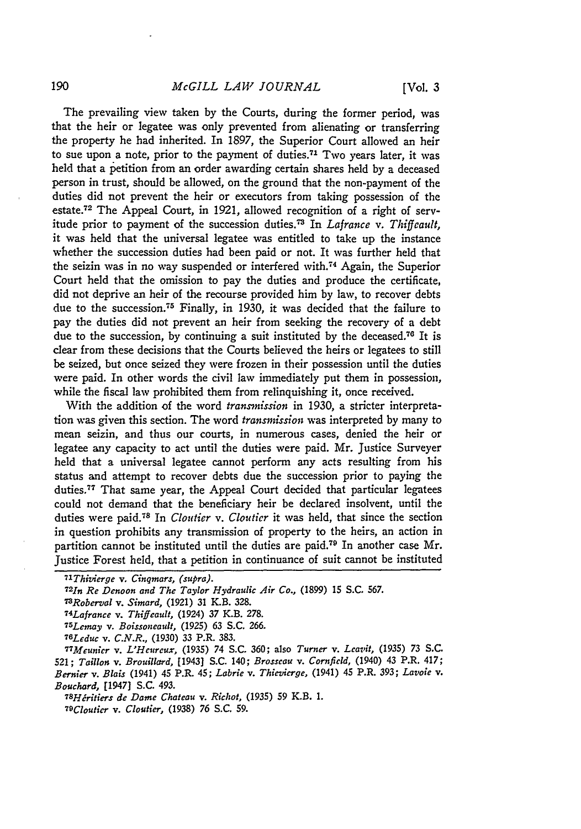The prevailing view taken by the Courts, during the former period, was that the heir or legatee was only prevented from alienating or transferring the property he had inherited. In 1897, the Superior Court allowed an heir to sue upon a note, prior to the payment of duties.<sup>71</sup> Two years later, it was held that a petition from an order awarding certain shares held by a deceased person in trust, should be allowed, on the ground that the non-payment of the duties did not prevent the heir or executors from taking possession of the estate.72 The Appeal Court, in 1921, allowed recognition of a right of servitude prior to payment of the succession duties.<sup>73</sup> In *Lafrance v. Thiffeault*, it was held that the universal legatee was entitled to take up the instance whether the succession duties had been paid or not. It was further held that the seizin was in no way suspended or interfered with.<sup>74</sup> Again, the Superior Court held that the omission to pay the duties and produce the certificate, did not deprive an heir of the recourse provided him by law, to recover debts due to the succession. 75 Finally, in **1930,** it was decided that the failure to pay the duties did not prevent an heir from seeking the recovery of a debt due to the succession, by continuing a suit instituted by the deceased.<sup>76</sup> It is clear from these decisions that the Courts believed the heirs or legatees to still be seized, but once seized they were frozen in their possession until the duties were paid. In other words the civil law immediately put them in possession, while the fiscal law prohibited them from relinquishing it, once received.

With the addition of the word *transmission* in 1930, a stricter interpretation was given this section. The word *transmission* was interpreted by many to mean seizin, and thus our courts, in numerous cases, denied the heir or legatee any capacity to act until the duties were paid. Mr. Justice Surveyer held that a universal legatee cannot perform any acts resulting from his status and attempt to recover debts due the succession prior to paying the duties.<sup>77</sup> That same year, the Appeal Court decided that particular legatees could not demand that the beneficiary heir be declared insolvent, until the duties were paid.<sup>78</sup> In *Cloutier* v. *Cloutier* it was held, that since the section in question prohibits any transmission of property to the heirs, an action in partition cannot be instituted until the duties are paid. 79 In another case Mr. Justice Forest held, that a petition in continuance of suit cannot be instituted

*<sup>7</sup> -Thivierge v. Cinqmars, (supra). <sup>72</sup> 1n Re Denoon and The Taylor Hydraulic Air Co.,* (1899) 15 S.C. **567.** *7 3Roberval v. Simard,* (1921) 31 K.B. 328. *74Lafrance v. Thiffeault,* (1924) **37** K.B. 278. *75 Lemay v. Boissoncault,* (1925) **63** S.C. 266. *76Leduc v. C.N.R.,* **(1930)** *33* P.R. **383.** *77 Meunier v. L'Hcurcux,* (1935) 74 S.C. **360;** also *Turner* v. *Leavit, (1935) 73* **S.C.** 521; *Taillon v. Brouillard,* [1943] S.C. 140; *Brosseau v. Cornfield,* (1940) 43 P.R. 417; *Bernier v. Blais* (1941) 45 P.R. 45; *Labrie v. Thievierge,* (1941) 45 P.R. *393; Lavoie v.*

*Bouchard,* [1947] **S.C.** *493.*

*<sup>78</sup> Hritiers de Dame Chateau v. Richot,* **(1935)** 59 K.B. **1.**

*<sup>79</sup>Clouticr v. Cloutier,* (1938) 76 S.C. 59.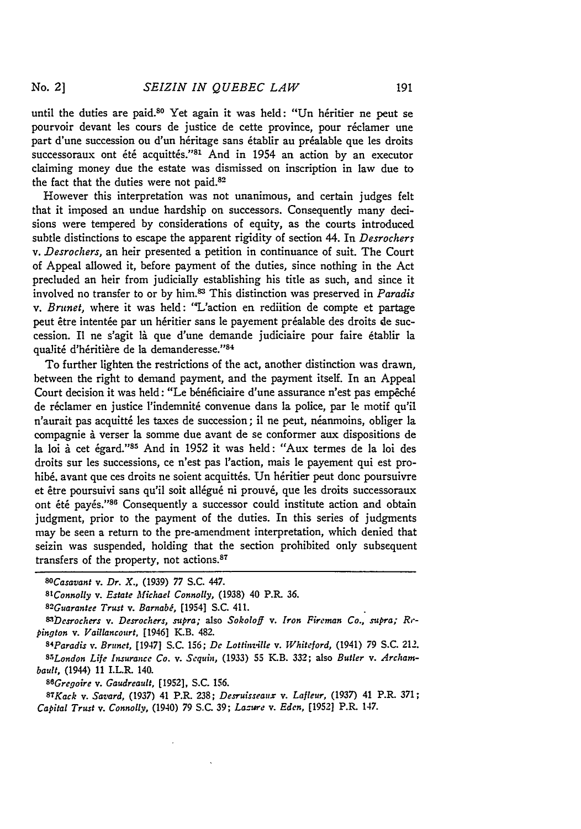until the duties are paid.<sup>80</sup> Yet again it was held: "Un héritier ne peut se pourvoir devant les cours de justice de cette province, pour réclamer une part d'une succession ou d'un héritage sans établir au préalable que les droits successoraux ont été acquittés."<sup>81</sup> And in 1954 an action by an executor claiming money due the estate was dismissed on inscription in law due to the fact that the duties were not paid.<sup>82</sup>

However this interpretation was not unanimous, and certain judges felt that it imposed an undue hardship on successors. Consequently many decisions were tempered by considerations of equity, as the courts introduced subtle distinctions to escape the apparent rigidity of section 44. In *Desrocherr v. Desrochers,* an heir presented a petition in continuance of suit. The Court of Appeal allowed it, before payment of the duties, since nothing in the Act precluded an heir from judicially establishing his title as such, and since it involved no transfer to or **by** him.83 This distinction was preserved in *Paradis v. Brunet,* where it was held: "L'action en rediition de compte et partage peut être intentée par un héritier sans le payement préalable des droits de succession. Il ne s'agit là que d'une demande judiciaire pour faire établir la qualité d'héritière de la demanderesse."84

To further lighten the restrictions of the act, another distinction was drawn, between the right to demand payment, and the payment itself. In an Appeal Court decision it was held: "Le bénéficiaire d'une assurance n'est pas empêché de réclamer en justice l'indemnité convenue dans la police, par le motif qu'il n'aurait pas acquitté les taxes de succession; il ne peut, néanmoins, obliger la compagnie à verser la somme due avant de se conformer aux dispositions de la loi à cet égard."<sup>85</sup> And in 1952 it was held: "Aux termes de la loi des droits sur les successions, ce n'est pas l'action, mais le payement qui est prohibé, avant que ces droits ne soient acquittés. Un héritier peut donc poursuivre et être poursuivi sans qu'il soit allégué ni prouvé, que les droits successoraux ont été payés."86 Consequently a successor could institute action and obtain judgment, prior to the payment of the duties. In this series of judgments may be seen a return to the pre-amendment interpretation, which denied that seizin was suspended, holding that the section prohibited only subsequent transfers of the property, not actions.<sup>87</sup>

*88 Gregoire v. Gaudreault,* **[1952], S.C. 156.**

*8T Kack v. Savard,* **(1937)** 41 P.R. **238;** *Desruisseaux v. Lafleur,* **(1937)** 41 P.R. **371;** *Capital Trust v. Connolly,* (1940) **79 S.C. 39;** *Lazure v. Eden,* **[19521** P.R. 147.

*SoCasavant v. Dr. X.,* (1939) 77 S.C. 447.

*<sup>8</sup>lConnolly v. Estate Michael Connolly,* (1938) 40 P.R. **36.**

*<sup>82</sup> Guarantee Trust v. Barnabi,* [1954] **S.C.** 411.

*<sup>83</sup>Desrochers v. Desrochers, supra;* also *Sokoloff v. Iron Fireman Co., supra;* R,' *pington v. Vaillancourt,* [1946] K.B. 482.

*<sup>84</sup> Paradis v. Brunet,* [1947] **S.C. 156;** *Dc Lottinz4lle v. Whiteford,* (1941) **79 S.C.** 212. *8 .London Life Insurance Co. v. Sequin,* **(1933)** 55 K.B. **332;** also *Butler v. Archambault,* (1944) **11** I.L.R. 140.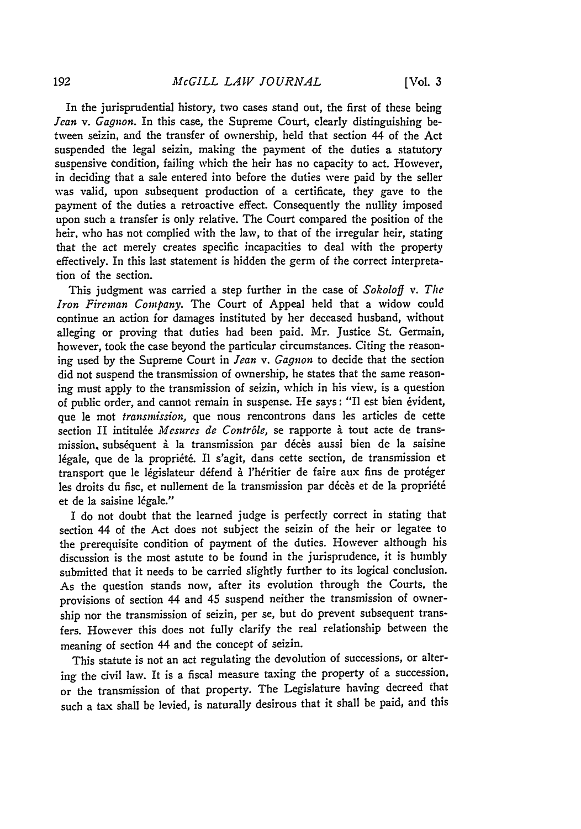In the jurisprudential history, two cases stand out, the first of these being *Jean v. Gagnon.* In this case, the Supreme Court, clearly distinguishing between seizin, and the transfer of ownership, held that section 44 of the Act suspended the legal seizin, making the payment of the duties a statutory suspensive condition, failing which the heir has no capacity to act. However, in deciding that a sale entered into before the duties were paid by the seller was valid, upon subsequent production of a certificate, they gave to the payment of the duties a retroactive effect. Consequently the nullity imposed upon such a transfer is only relative. The Court compared the position of the heir, who has not complied with the law, to that of the irregular heir, stating that the act merely creates specific incapacities to deal with the property effectively. In this last statement is hidden the germ of the correct interpretation of the section.

This judgment was carried a step further in the case of *Sokoloff v. The Iron Fireman Company.* The Court of Appeal held that a widow could continue an action for damages instituted by her deceased husband, without alleging or proving that duties had been paid. Mr. Justice St. Germain, however, took the case beyond the particular circumstances. Citing the reasoning used by the Supreme Court in *Jean v. Gagnon* to decide that the section did not suspend the transmission of ownership, he states that the same reasoning must apply to the transmission of seizin, which in his view, is a question of public order, and cannot remain in suspense. He says: "Il est bien évident, que le mot *transmission,* que nous rencontrons dans les articles de cette section II intitulée *Mesures de Contrôle*, se rapporte à tout acte de transmission, subséquent à la transmission par décès aussi bien de la saisine légale, que de la propriété. Il s'agit, dans cette section, de transmission et transport que le législateur défend à l'héritier de faire aux fins de protéger les droits du fisc, et nullement de la transmission par décès et de la propriété et de la saisine légale."

I do not doubt that the learned judge is perfectly correct in stating that section 44 of the Act does not subject the seizin of the heir or legatee to the prerequisite condition of payment of the duties. However although his discussion is the most astute to be found in the jurisprudence, it is humbly submitted that it needs to be carried slightly further to its logical conclusion. As the question stands now, after its evolution through the Courts, the provisions of section 44 and 45 suspend neither the transmission of ownership nor the transmission of seizin, per se, but do prevent subsequent transfers. However this does not fully clarify the real relationship between the meaning of section 44 and the concept of seizin.

This statute is not an act regulating the devolution of successions, or altering the civil law. It is a fiscal measure taxing the property of a succession, or the transmission of that property. The Legislature having decreed that such a tax shall be levied, is naturally desirous that it shall be paid, and this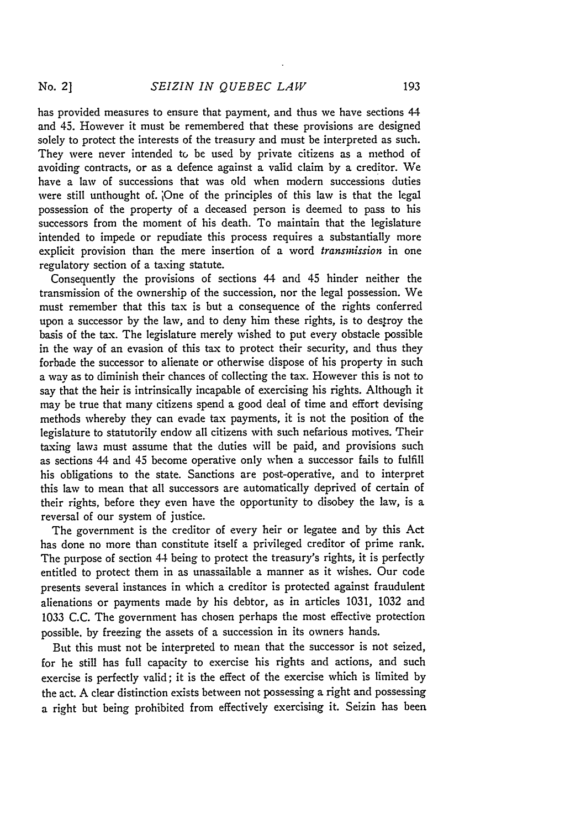has provided measures to ensure that payment, and thus we have sections 44 and 45. However it must be remembered that these provisions are designed solely to protect the interests of the treasury and must be interpreted as such. They were never intended to be used by private citizens as a method of avoiding contracts, or as a defence against a valid claim by a creditor. We have a law of successions that was old when modern successions duties were still unthought of. jOne of the principles of this law is that the legal possession of the property of a deceased person is deemed to pass to his successors from the moment of his death. To maintain that the legislature intended to impede or repudiate this process requires a substantially more explicit provision than the mere insertion of a word *transmission* in one regulatory section of a taxing statute.

Consequently the provisions of sections 44 and 45 hinder neither the transmission of the ownership of the succession, nor the legal possession. We must remember that this tax is but a consequence of the rights conferred upon a successor by the law, and to deny him these rights, is to destroy the basis of the tax. The legislature merely wished to put every obstacle possible in the way of an evasion of this tax to protect their security, and thus they forbade the successor to alienate or otherwise dispose of his property in such a way as to diminish their chances of collecting the tax. However this is not to say that the heir is intrinsically incapable of exercising his rights. Although it may be true that many citizens spend a good deal of time and effort devising methods whereby they can evade tax payments, it is not the position of the legislature to statutorily endow all citizens with such nefarious motives. Their taxing laws must assume that the duties will be paid, and provisions such as sections 44 and 45 become operative only when a successor fails to fulfill his obligations to the state. Sanctions are post-operative, and to interpret this law to mean that all successors are automatically deprived of certain of their rights, before they even have the opportunity to disobey the law, is a reversal of our system of justice.

The government is the creditor of every heir or legatee and **by** this Act has done no more than constitute itself a privileged creditor of prime rank. The purpose of section 44 being to protect the treasury's rights, it is perfectly entitled to protect them in as unassailable a manner as it wishes. Our code presents several instances in which a creditor is protected against fraudulent alienations or payments made **by** his debtor, as in articles 1031, 1032 and 1033 **C.C.** The government has chosen perhaps the most effective protection possible, **by** freezing the assets of a succession in its owners hands.

But this must not be interpreted to mean that the successor is not seized, for he still has full capacity to exercise his rights and actions, and such exercise is perfectly valid; it is the effect of the exercise which is limited **by** the act. A clear distinction exists between not possessing a right and possessing a right but being prohibited from effectively exercising it. Seizin has been